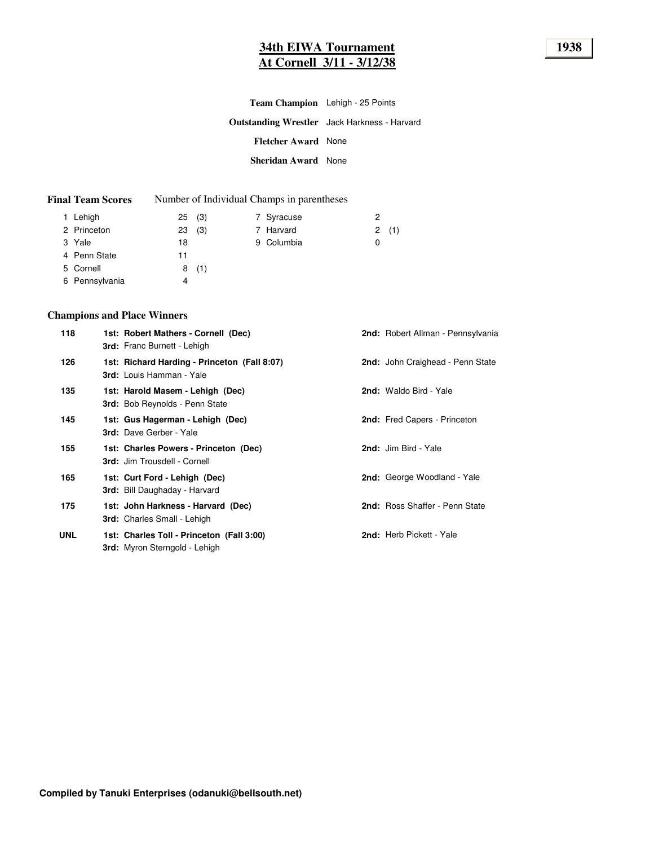## **34th EIWA Tournament 1938 At Cornell 3/11 - 3/12/38**

|                            | <b>Team Champion</b> Lehigh - 25 Points             |  |
|----------------------------|-----------------------------------------------------|--|
|                            | <b>Outstanding Wrestler</b> Jack Harkness - Harvard |  |
| <b>Fletcher Award None</b> |                                                     |  |
| Sheridan Award None        |                                                     |  |

#### **Final Team Scores** Number of Individual Champs in parentheses

| 1 Lehigh       | 25(3)     | 7 Syracuse | 2        |
|----------------|-----------|------------|----------|
| 2 Princeton    | (3)<br>23 | 7 Harvard  | (1)<br>2 |
| 3 Yale         | 18        | 9 Columbia | 0        |
| 4 Penn State   | 11        |            |          |
| 5 Cornell      | 8(1)      |            |          |
| 6 Pennsylvania | 4         |            |          |

#### **Champions and Place Winners**

| 118 | 1st: Robert Mathers - Cornell (Dec)<br><b>3rd:</b> Franc Burnett - Lehigh         | 2nd: Robert Allman - Pennsylvania |
|-----|-----------------------------------------------------------------------------------|-----------------------------------|
| 126 | 1st: Richard Harding - Princeton (Fall 8:07)<br>3rd: Louis Hamman - Yale          | 2nd: John Craighead - Penn State  |
| 135 | 1st: Harold Masem - Lehigh (Dec)<br><b>3rd:</b> Bob Reynolds - Penn State         | 2nd: Waldo Bird - Yale            |
| 145 | 1st: Gus Hagerman - Lehigh (Dec)<br>3rd: Dave Gerber - Yale                       | 2nd: Fred Capers - Princeton      |
| 155 | 1st: Charles Powers - Princeton (Dec)<br>3rd: Jim Trousdell - Cornell             | 2nd: Jim Bird - Yale              |
| 165 | 1st: Curt Ford - Lehigh (Dec)<br><b>3rd:</b> Bill Daughaday - Harvard             | 2nd: George Woodland - Yale       |
| 175 | 1st: John Harkness - Harvard (Dec)<br><b>3rd:</b> Charles Small - Lehigh          | 2nd: Ross Shaffer - Penn State    |
| UNL | 1st: Charles Toll - Princeton (Fall 3:00)<br><b>3rd:</b> Myron Sterngold - Lehigh | 2nd: Herb Pickett - Yale          |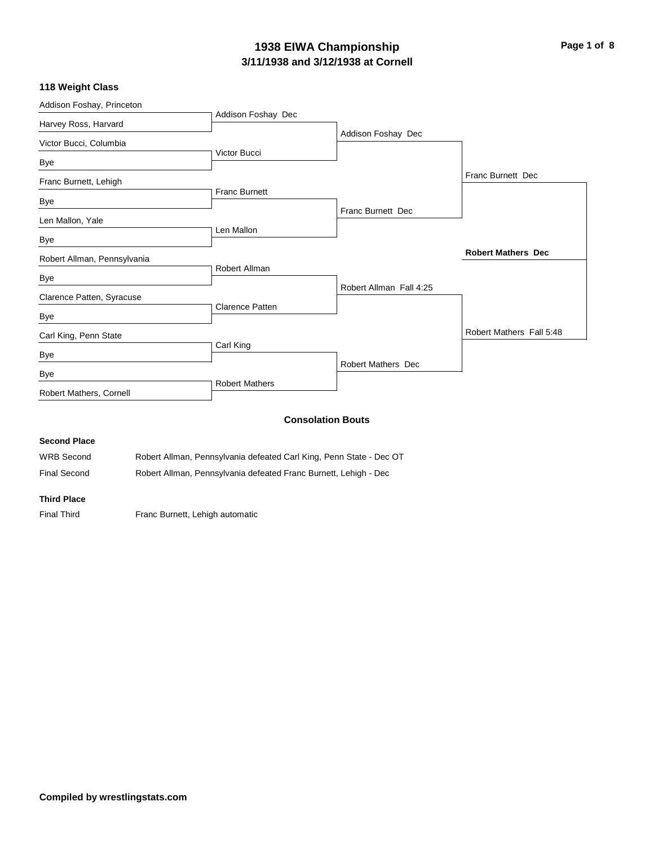## **3/11/1938 and 3/12/1938 at Cornell 1938 EIWA Championship Page 1 of 8**

#### **118 Weight Class**

| Addison Foshay, Princeton   |                        |                           |                           |
|-----------------------------|------------------------|---------------------------|---------------------------|
| Harvey Ross, Harvard        | Addison Foshay Dec     |                           |                           |
| Victor Bucci, Columbia      |                        | Addison Foshay Dec        |                           |
|                             | Victor Bucci           |                           |                           |
| Bye                         |                        |                           |                           |
| Franc Burnett, Lehigh       |                        |                           | Franc Burnett Dec         |
| Bye                         | <b>Franc Burnett</b>   |                           |                           |
|                             |                        | Franc Burnett Dec         |                           |
| Len Mallon, Yale            | Len Mallon             |                           |                           |
| Bye                         |                        |                           |                           |
| Robert Allman, Pennsylvania |                        |                           | <b>Robert Mathers Dec</b> |
|                             | Robert Allman          |                           |                           |
| Bye                         |                        |                           |                           |
| Clarence Patten, Syracuse   |                        | Robert Allman Fall 4:25   |                           |
| Bye                         | <b>Clarence Patten</b> |                           |                           |
| Carl King, Penn State       |                        |                           | Robert Mathers Fall 5:48  |
|                             | Carl King              |                           |                           |
| Bye                         |                        |                           |                           |
| Bye                         |                        | <b>Robert Mathers Dec</b> |                           |
| Robert Mathers, Cornell     | <b>Robert Mathers</b>  |                           |                           |
|                             |                        |                           |                           |
|                             |                        | <b>Consolation Bouts</b>  |                           |
| <b>Second Place</b>         |                        |                           |                           |

WRB Second Robert Allman, Pennsylvania defeated Carl King, Penn State - Dec OT

Final Second Robert Allman, Pennsylvania defeated Franc Burnett, Lehigh - Dec

#### **Third Place**

Final Third Franc Burnett, Lehigh automatic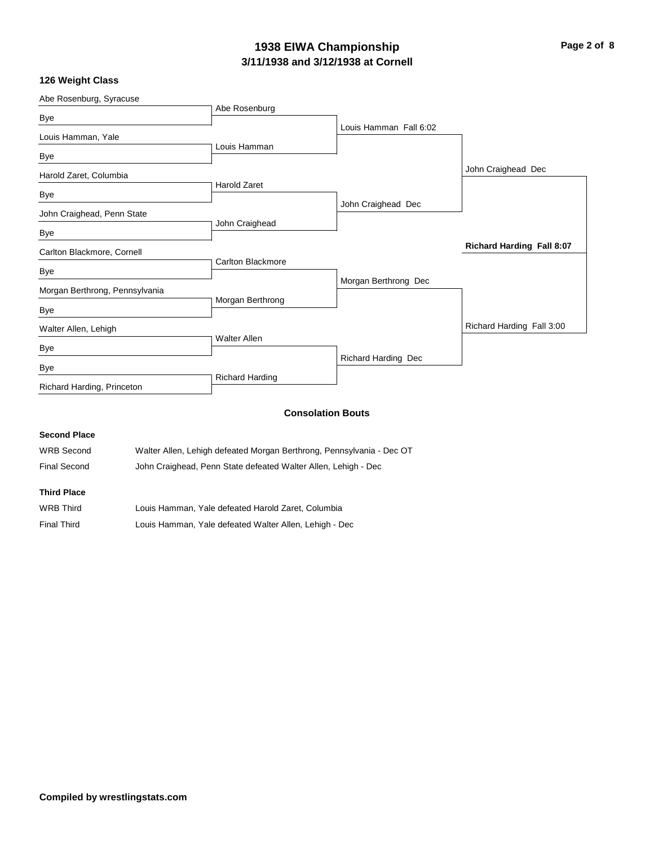## **3/11/1938 and 3/12/1938 at Cornell 1938 EIWA Championship Page 2 of 8**

## **126 Weight Class**

| Abe Rosenburg, Syracuse        |                          |                            |                                  |
|--------------------------------|--------------------------|----------------------------|----------------------------------|
| Bye                            | Abe Rosenburg            |                            |                                  |
| Louis Hamman, Yale             |                          | Louis Hamman Fall 6:02     |                                  |
|                                | Louis Hamman             |                            |                                  |
| Bye                            |                          |                            |                                  |
| Harold Zaret, Columbia         |                          |                            | John Craighead Dec               |
|                                | <b>Harold Zaret</b>      |                            |                                  |
| Bye                            |                          | John Craighead Dec         |                                  |
| John Craighead, Penn State     |                          |                            |                                  |
| Bye                            | John Craighead           |                            |                                  |
| Carlton Blackmore, Cornell     |                          |                            | <b>Richard Harding Fall 8:07</b> |
|                                | <b>Carlton Blackmore</b> |                            |                                  |
| Bye                            |                          |                            |                                  |
| Morgan Berthrong, Pennsylvania |                          | Morgan Berthrong Dec       |                                  |
|                                | Morgan Berthrong         |                            |                                  |
| Bye                            |                          |                            |                                  |
| Walter Allen, Lehigh           |                          |                            | Richard Harding Fall 3:00        |
|                                | <b>Walter Allen</b>      |                            |                                  |
| Bye                            |                          |                            |                                  |
| Bye                            |                          | <b>Richard Harding Dec</b> |                                  |
| Richard Harding, Princeton     | <b>Richard Harding</b>   |                            |                                  |
|                                |                          |                            |                                  |
|                                |                          |                            |                                  |

## **Consolation Bouts**

## **Second Place**

| WRB Second   | Walter Allen, Lehigh defeated Morgan Berthrong, Pennsylvania - Dec OT |
|--------------|-----------------------------------------------------------------------|
| Final Second | John Craighead, Penn State defeated Walter Allen, Lehigh - Dec        |

## **Third Place**

| WRB Third          | Louis Hamman. Yale defeated Harold Zaret. Columbia     |
|--------------------|--------------------------------------------------------|
| <b>Final Third</b> | Louis Hamman, Yale defeated Walter Allen, Lehigh - Dec |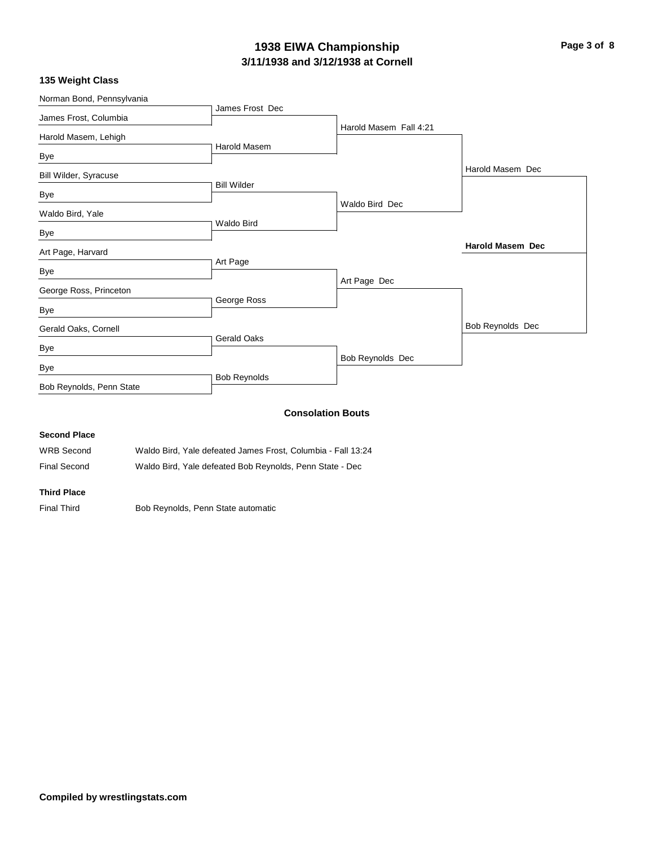## **3/11/1938 and 3/12/1938 at Cornell 1938 EIWA Championship Page 3 of 8**

|  |  |  |  | 135 Weight Class |
|--|--|--|--|------------------|
|--|--|--|--|------------------|

| Norman Bond, Pennsylvania |                     |                          |                         |
|---------------------------|---------------------|--------------------------|-------------------------|
| James Frost, Columbia     | James Frost Dec     |                          |                         |
|                           |                     | Harold Masem Fall 4:21   |                         |
| Harold Masem, Lehigh      | <b>Harold Masem</b> |                          |                         |
| Bye                       |                     |                          |                         |
| Bill Wilder, Syracuse     |                     |                          | Harold Masem Dec        |
| Bye                       | <b>Bill Wilder</b>  |                          |                         |
|                           |                     | Waldo Bird Dec           |                         |
| Waldo Bird, Yale          |                     |                          |                         |
| Bye                       | <b>Waldo Bird</b>   |                          |                         |
| Art Page, Harvard         |                     |                          | <b>Harold Masem Dec</b> |
| Bye                       | Art Page            |                          |                         |
|                           |                     | Art Page Dec             |                         |
| George Ross, Princeton    | George Ross         |                          |                         |
| Bye                       |                     |                          |                         |
| Gerald Oaks, Cornell      |                     |                          | Bob Reynolds Dec        |
| Bye                       | <b>Gerald Oaks</b>  |                          |                         |
|                           |                     | Bob Reynolds Dec         |                         |
| Bye                       | <b>Bob Reynolds</b> |                          |                         |
| Bob Reynolds, Penn State  |                     |                          |                         |
|                           |                     | <b>Consolation Bouts</b> |                         |

#### **Second Place**

WRB Second Waldo Bird, Yale defeated James Frost, Columbia - Fall 13:24 Final Second Waldo Bird, Yale defeated Bob Reynolds, Penn State - Dec

**Third Place**

Final Third **Bob Reynolds, Penn State automatic**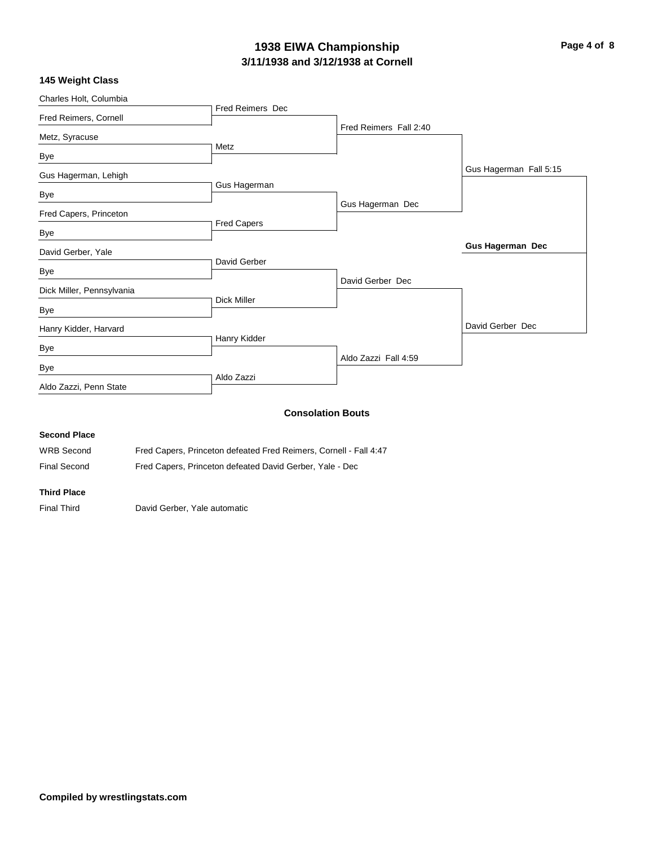## **3/11/1938 and 3/12/1938 at Cornell 1938 EIWA Championship Page 4 of 8**

## **145 Weight Class**

|                    |                                                                                     | David Gerber Dec                                                           |
|--------------------|-------------------------------------------------------------------------------------|----------------------------------------------------------------------------|
|                    |                                                                                     |                                                                            |
|                    |                                                                                     |                                                                            |
|                    | David Gerber Dec                                                                    |                                                                            |
| David Gerber       |                                                                                     |                                                                            |
|                    |                                                                                     | <b>Gus Hagerman Dec</b>                                                    |
| <b>Fred Capers</b> |                                                                                     |                                                                            |
|                    | Gus Hagerman Dec                                                                    |                                                                            |
| Gus Hagerman       |                                                                                     |                                                                            |
|                    |                                                                                     | Gus Hagerman Fall 5:15                                                     |
|                    |                                                                                     |                                                                            |
|                    |                                                                                     |                                                                            |
|                    |                                                                                     |                                                                            |
|                    |                                                                                     |                                                                            |
|                    | <b>Fred Reimers Dec</b><br>Metz<br><b>Dick Miller</b><br>Hanry Kidder<br>Aldo Zazzi | Fred Reimers Fall 2:40<br>Aldo Zazzi Fall 4:59<br><b>Consolation Bouts</b> |

## **Second Place**

| WRB Second          | Fred Capers, Princeton defeated Fred Reimers, Cornell - Fall 4:47 |
|---------------------|-------------------------------------------------------------------|
| <b>Final Second</b> | Fred Capers, Princeton defeated David Gerber, Yale - Dec          |

#### **Third Place**

Final Third David Gerber, Yale automatic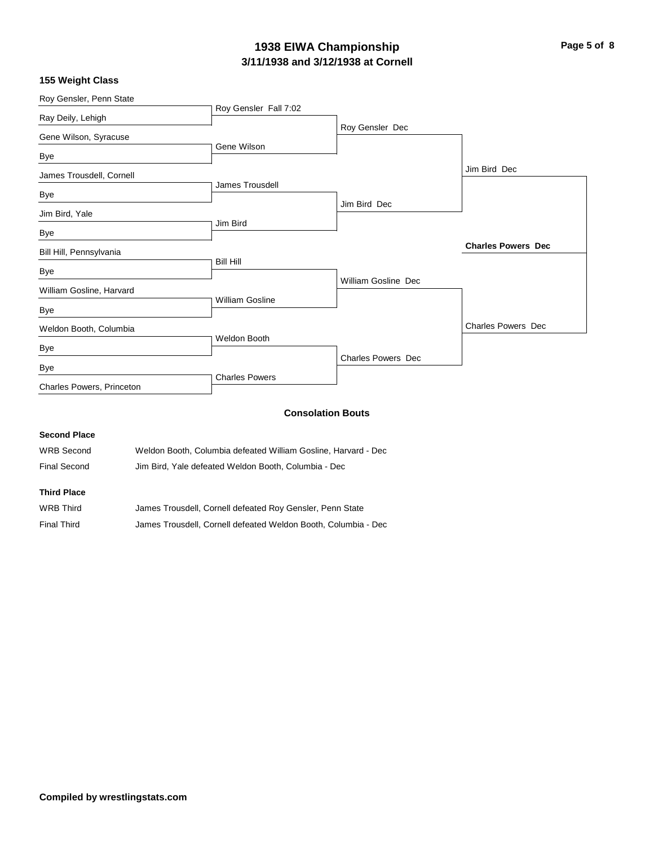## **3/11/1938 and 3/12/1938 at Cornell 1938 EIWA Championship Page 5 of 8**

| Roy Gensler, Penn State   |                        |                            |                           |
|---------------------------|------------------------|----------------------------|---------------------------|
| Ray Deily, Lehigh         | Roy Gensler Fall 7:02  |                            |                           |
|                           |                        | Roy Gensler Dec            |                           |
| Gene Wilson, Syracuse     |                        |                            |                           |
| Bye                       | Gene Wilson            |                            |                           |
| James Trousdell, Cornell  |                        |                            | Jim Bird Dec              |
| Bye                       | James Trousdell        |                            |                           |
|                           |                        | Jim Bird Dec               |                           |
| Jim Bird, Yale            | Jim Bird               |                            |                           |
| Bye                       |                        |                            |                           |
| Bill Hill, Pennsylvania   |                        |                            | <b>Charles Powers Dec</b> |
| Bye                       | <b>Bill Hill</b>       |                            |                           |
| William Gosline, Harvard  |                        | <b>William Gosline Dec</b> |                           |
| Bye                       | <b>William Gosline</b> |                            |                           |
| Weldon Booth, Columbia    |                        |                            | <b>Charles Powers Dec</b> |
| Bye                       | Weldon Booth           |                            |                           |
| Bye                       |                        | Charles Powers Dec         |                           |
| Charles Powers, Princeton | <b>Charles Powers</b>  |                            |                           |
|                           |                        |                            |                           |

## **Consolation Bouts**

#### **Second Place**

| <b>Third Place</b> |                                                                |
|--------------------|----------------------------------------------------------------|
| Final Second       | Jim Bird. Yale defeated Weldon Booth. Columbia - Dec           |
| WRB Second         | Weldon Booth. Columbia defeated William Gosline. Harvard - Dec |

| WRB Third          | James Trousdell, Cornell defeated Roy Gensler, Penn State      |
|--------------------|----------------------------------------------------------------|
| <b>Final Third</b> | James Trousdell, Cornell defeated Weldon Booth, Columbia - Dec |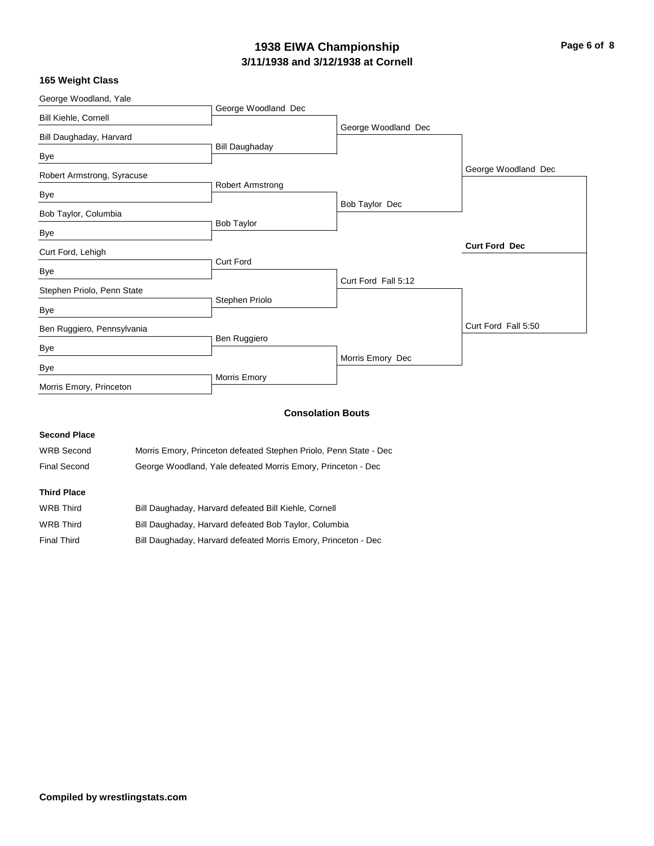## **3/11/1938 and 3/12/1938 at Cornell 1938 EIWA Championship Page 6 of 8**

## **165 Weight Class**

| George Woodland, Yale      |                         |                     |                      |
|----------------------------|-------------------------|---------------------|----------------------|
| Bill Kiehle, Cornell       | George Woodland Dec     |                     |                      |
| Bill Daughaday, Harvard    |                         | George Woodland Dec |                      |
| Bye                        | <b>Bill Daughaday</b>   |                     |                      |
| Robert Armstrong, Syracuse |                         |                     | George Woodland Dec  |
| Bye                        | <b>Robert Armstrong</b> |                     |                      |
| Bob Taylor, Columbia       |                         | Bob Taylor Dec      |                      |
| Bye                        | <b>Bob Taylor</b>       |                     |                      |
| Curt Ford, Lehigh          |                         |                     | <b>Curt Ford Dec</b> |
| Bye                        | <b>Curt Ford</b>        |                     |                      |
| Stephen Priolo, Penn State |                         | Curt Ford Fall 5:12 |                      |
| Bye                        | Stephen Priolo          |                     |                      |
| Ben Ruggiero, Pennsylvania |                         |                     | Curt Ford Fall 5:50  |
| Bye                        | Ben Ruggiero            |                     |                      |
| Bye                        |                         | Morris Emory Dec    |                      |
| Morris Emory, Princeton    | Morris Emory            |                     |                      |
|                            |                         |                     |                      |

## **Consolation Bouts**

#### **Second Place**

| <b>WRB Second</b> | Morris Emory, Princeton defeated Stephen Priolo, Penn State - Dec |
|-------------------|-------------------------------------------------------------------|
| Final Second      | George Woodland, Yale defeated Morris Emory, Princeton - Dec      |

## **Third Place**

| WRB Third   | Bill Daughaday, Harvard defeated Bill Kiehle, Cornell          |
|-------------|----------------------------------------------------------------|
| WRB Third   | Bill Daughaday, Harvard defeated Bob Taylor, Columbia          |
| Final Third | Bill Daughaday, Harvard defeated Morris Emory, Princeton - Dec |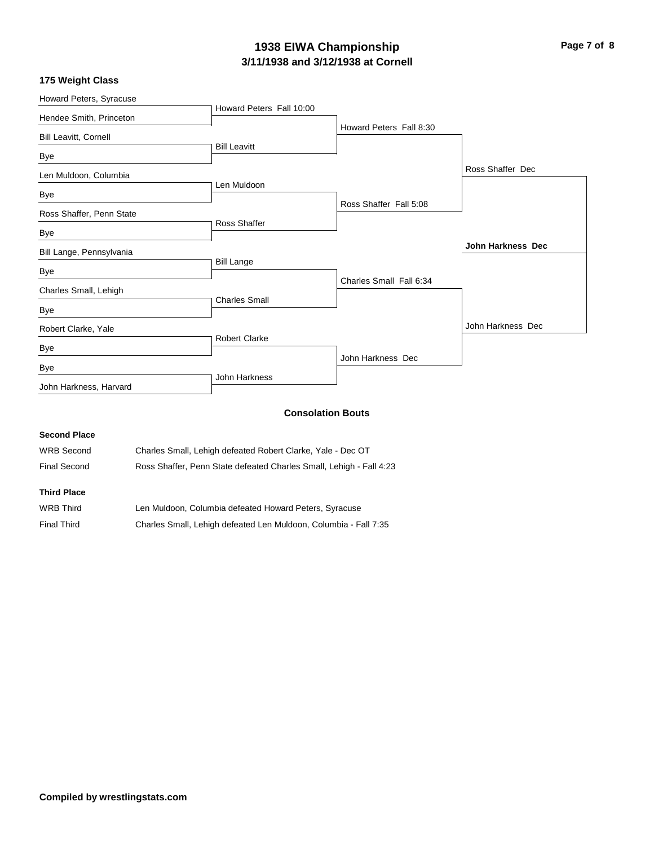# **3/11/1938 and 3/12/1938 at Cornell 1938 EIWA Championship Page 7 of 8**

| Howard Peters, Syracuse  |                          |                         |                          |
|--------------------------|--------------------------|-------------------------|--------------------------|
| Hendee Smith, Princeton  | Howard Peters Fall 10:00 |                         |                          |
|                          |                          | Howard Peters Fall 8:30 |                          |
| Bill Leavitt, Cornell    |                          |                         |                          |
| Bye                      | <b>Bill Leavitt</b>      |                         |                          |
| Len Muldoon, Columbia    |                          |                         | Ross Shaffer Dec         |
|                          | Len Muldoon              |                         |                          |
| Bye                      |                          | Ross Shaffer Fall 5:08  |                          |
| Ross Shaffer, Penn State |                          |                         |                          |
| Bye                      | Ross Shaffer             |                         |                          |
| Bill Lange, Pennsylvania |                          |                         | <b>John Harkness Dec</b> |
|                          | <b>Bill Lange</b>        |                         |                          |
| Bye                      |                          | Charles Small Fall 6:34 |                          |
| Charles Small, Lehigh    |                          |                         |                          |
| Bye                      | <b>Charles Small</b>     |                         |                          |
| Robert Clarke, Yale      |                          |                         | John Harkness Dec        |
|                          | <b>Robert Clarke</b>     |                         |                          |
| Bye                      |                          |                         |                          |
| Bye                      |                          | John Harkness Dec       |                          |
| John Harkness, Harvard   | John Harkness            |                         |                          |

## **Consolation Bouts**

#### **Second Place**

| WRB Second | Charles Small, Lehigh defeated Robert Clarke, Yale - Dec OT |  |
|------------|-------------------------------------------------------------|--|
|------------|-------------------------------------------------------------|--|

Final Second Ross Shaffer, Penn State defeated Charles Small, Lehigh - Fall 4:23

## **Third Place**

| WRB Third          | Len Muldoon, Columbia defeated Howard Peters, Syracuse           |
|--------------------|------------------------------------------------------------------|
| <b>Final Third</b> | Charles Small, Lehigh defeated Len Muldoon, Columbia - Fall 7:35 |